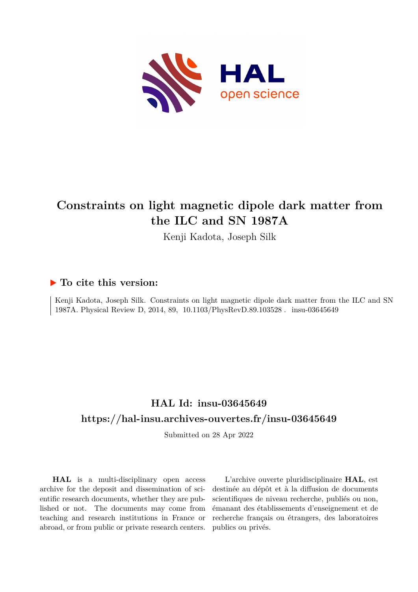

# **Constraints on light magnetic dipole dark matter from the ILC and SN 1987A**

Kenji Kadota, Joseph Silk

## **To cite this version:**

Kenji Kadota, Joseph Silk. Constraints on light magnetic dipole dark matter from the ILC and SN 1987A. Physical Review D, 2014, 89, 10.1103/PhysRevD.89.103528. insu-03645649

## **HAL Id: insu-03645649 <https://hal-insu.archives-ouvertes.fr/insu-03645649>**

Submitted on 28 Apr 2022

**HAL** is a multi-disciplinary open access archive for the deposit and dissemination of scientific research documents, whether they are published or not. The documents may come from teaching and research institutions in France or abroad, or from public or private research centers.

L'archive ouverte pluridisciplinaire **HAL**, est destinée au dépôt et à la diffusion de documents scientifiques de niveau recherche, publiés ou non, émanant des établissements d'enseignement et de recherche français ou étrangers, des laboratoires publics ou privés.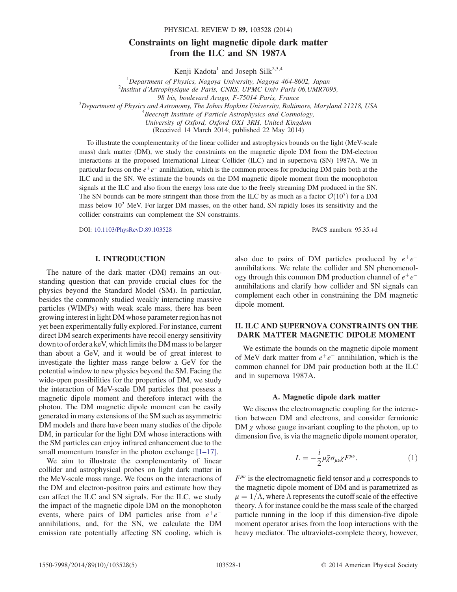PHYSICAL REVIEW D 89, 103528 (2014)

### Constraints on light magnetic dipole dark matter from the ILC and SN 1987A

Kenji Kadota<sup>1</sup> and Joseph Silk<sup>2,3,4</sup>

<sup>1</sup>Department of Physics, Nagoya University, Nagoya 464-8602, Japan<br><sup>2</sup>Institut d'Astrophysique de Paris, CNPS, UPMC Univ. Paris 06 UMP70 Institut d*'*Astrophysique de Paris, CNRS, UPMC Univ Paris 06,UMR7095, 98 bis, boulevard Arago, F-75014 Paris, France<br> $\frac{3}{2}$ Department of Bhysics and Astronomy. The Johns Hopkins University, Baltin Department of Physics and Astronomy, The Johns Hopkins University, Baltimore, Maryland 21218, USA<br><sup>4</sup> Begaraft Institute of Bartials Astronbusies and Cosmology  $A^4$ Beecroft Institute of Particle Astrophysics and Cosmology, University of Oxford, Oxford OX1 3RH, United Kingdom

(Received 14 March 2014; published 22 May 2014)

To illustrate the complementarity of the linear collider and astrophysics bounds on the light (MeV-scale mass) dark matter (DM), we study the constraints on the magnetic dipole DM from the DM-electron interactions at the proposed International Linear Collider (ILC) and in supernova (SN) 1987A. We in particular focus on the  $e^+e^-$  annihilation, which is the common process for producing DM pairs both at the ILC and in the SN. We estimate the bounds on the DM magnetic dipole moment from the monophoton signals at the ILC and also from the energy loss rate due to the freely streaming DM produced in the SN. The SN bounds can be more stringent than those from the ILC by as much as a factor  $\mathcal{O}(10^5)$  for a DM mass below  $10^2$  MeV. For larger DM masses, on the other hand, SN rapidly loses its sensitivity and the collider constraints can complement the SN constraints.

DOI: [10.1103/PhysRevD.89.103528](http://dx.doi.org/10.1103/PhysRevD.89.103528) PACS numbers: 95.35.+d

I. INTRODUCTION

The nature of the dark matter (DM) remains an outstanding question that can provide crucial clues for the physics beyond the Standard Model (SM). In particular, besides the commonly studied weakly interacting massive particles (WIMPs) with weak scale mass, there has been growing interest in light DM whose parameter region has not yet been experimentally fully explored. For instance, current direct DM search experiments have recoil energy sensitivity down to of order a keV, which limits the DM mass to be larger than about a GeV, and it would be of great interest to investigate the lighter mass range below a GeV for the potential window to new physics beyond the SM. Facing the wide-open possibilities for the properties of DM, we study the interaction of MeV-scale DM particles that possess a magnetic dipole moment and therefore interact with the photon. The DM magnetic dipole moment can be easily generated in many extensions of the SM such as asymmetric DM models and there have been many studies of the dipole DM, in particular for the light DM whose interactions with the SM particles can enjoy infrared enhancement due to the small momentum transfer in the photon exchange  $[1-17]$ .

We aim to illustrate the complementarity of linear collider and astrophysical probes on light dark matter in the MeV-scale mass range. We focus on the interactions of the DM and electron-positron pairs and estimate how they can affect the ILC and SN signals. For the ILC, we study the impact of the magnetic dipole DM on the monophoton events, where pairs of DM particles arise from  $e^+e^$ annihilations, and, for the SN, we calculate the DM emission rate potentially affecting SN cooling, which is

also due to pairs of DM particles produced by  $e^+e^$ annihilations. We relate the collider and SN phenomenology through this common DM production channel of  $e^+e^$ annihilations and clarify how collider and SN signals can complement each other in constraining the DM magnetic dipole moment.

### II. ILC AND SUPERNOVA CONSTRAINTS ON THE DARK MATTER MAGNETIC DIPOLE MOMENT

We estimate the bounds on the magnetic dipole moment of MeV dark matter from  $e^+e^-$  annihilation, which is the common channel for DM pair production both at the ILC and in supernova 1987A.

#### A. Magnetic dipole dark matter

We discuss the electromagnetic coupling for the interaction between DM and electrons, and consider fermionic DM  $\chi$  whose gauge invariant coupling to the photon, up to dimension five, is via the magnetic dipole moment operator,

$$
L = -\frac{i}{2}\mu \bar{\chi}\sigma_{\mu\nu}\chi F^{\mu\nu}.
$$
 (1)

 $F^{\mu\nu}$  is the electromagnetic field tensor and  $\mu$  corresponds to the magnetic dipole moment of DM and is parametrized as  $\mu = 1/\Lambda$ , where  $\Lambda$  represents the cutoff scale of the effective theory.  $\Lambda$  for instance could be the mass scale of the charged particle running in the loop if this dimension-five dipole moment operator arises from the loop interactions with the heavy mediator. The ultraviolet-complete theory, however,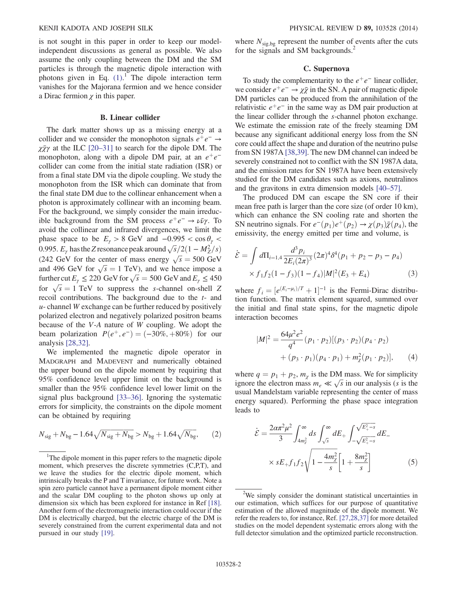is not sought in this paper in order to keep our modelindependent discussions as general as possible. We also assume the only coupling between the DM and the SM particles is through the magnetic dipole interaction with photons given in Eq.  $(1)$ .<sup>1</sup> The dipole interaction term vanishes for the Majorana fermion and we hence consider a Dirac fermion  $\chi$  in this paper.

#### B. Linear collider

The dark matter shows up as a missing energy at a collider and we consider the monophoton signals  $e^+e^- \rightarrow$  $\chi \bar{\chi} \gamma$  at the ILC [20–31] to search for the dipole DM. The monophoton, along with a dipole DM pair, at an  $e^+e^$ collider can come from the initial state radiation (ISR) or from a final state DM via the dipole coupling. We study the monophoton from the ISR which can dominate that from the final state DM due to the collinear enhancement when a photon is approximately collinear with an incoming beam. For the background, we simply consider the main irreducible background from the SM process  $e^+e^- \rightarrow \nu \bar{\nu} \gamma$ . To avoid the collinear and infrared divergences, we limit the phase space to be  $E_{\gamma} > 8$  GeV and  $-0.995 < \cos \theta_{\gamma} <$ 0.995.  $E_y$  has the Z resonance peak around  $\sqrt{s}/2(1 - M_Z^2/s)$ (242 GeV for the center of mass energy  $\sqrt{s} = 500 \text{ GeV}$ and 496 GeV for  $\sqrt{s} = 1$  TeV), and we hence impose a further cut  $E_{\gamma} \le 220 \text{ GeV}$  for  $\sqrt{s} = 500 \text{ GeV}$  and  $E_{\gamma} \le 450$ for  $\sqrt{s} = 1$  TeV to suppress the s-channel on-shell Z recoil contributions. The background due to the t- and  $u$ - channel W exchange can be further reduced by positively polarized electron and negatively polarized positron beams because of the V-A nature of W coupling. We adopt the beam polarization  $P(e^+, e^-) = (-30\%, +80\%)$  for our analysis [28,32].

We implemented the magnetic dipole operator in MADGRAPH and MADEVENT and numerically obtained the upper bound on the dipole moment by requiring that 95% confidence level upper limit on the background is smaller than the 95% confidence level lower limit on the signal plus background [33–36]. Ignoring the systematic errors for simplicity, the constraints on the dipole moment can be obtained by requiring

$$
N_{\text{sig}} + N_{\text{bg}} - 1.64\sqrt{N_{\text{sig}} + N_{\text{bg}}} > N_{\text{bg}} + 1.64\sqrt{N_{\text{bg}}},\qquad(2)
$$

where  $N_{\text{sig,bg}}$  represent the number of events after the cuts for the signals and SM backgrounds.<sup>2</sup>

#### C. Supernova

To study the complementarity to the  $e^+e^-$  linear collider, we consider  $e^+e^- \rightarrow \chi \bar{\chi}$  in the SN. A pair of magnetic dipole DM particles can be produced from the annihilation of the relativistic  $e^+e^-$  in the same way as DM pair production at the linear collider through the s-channel photon exchange. We estimate the emission rate of the freely steaming DM because any significant additional energy loss from the SN core could affect the shape and duration of the neutrino pulse from SN 1987A [38,39]. The new DM channel can indeed be severely constrained not to conflict with the SN 1987A data, and the emission rates for SN 1987A have been extensively studied for the DM candidates such as axions, neutralinos and the gravitons in extra dimension models [40–57].

The produced DM can escape the SN core if their mean free path is larger than the core size (of order 10 km), which can enhance the SN cooling rate and shorten the SN neutrino signals. For  $e^-(p_1)e^+(p_2) \rightarrow \chi(p_3)\bar{\chi}(p_4)$ , the emissivity, the energy emitted per time and volume, is

$$
\dot{\mathcal{E}} = \int d\Pi_{i=1,4} \frac{d^3 p_i}{2E_i (2\pi)^3} (2\pi)^4 \delta^4(p_1 + p_2 - p_3 - p_4)
$$
  
 
$$
\times f_1 f_2 (1 - f_3) (1 - f_4) |M|^2 (E_3 + E_4)
$$
 (3)

where  $f_i = [e^{(E_i - \mu_i)/T} + 1]^{-1}$  is the Fermi-Dirac distribution function. The matrix element squared, summed over the initial and final state spins, for the magnetic dipole interaction becomes

$$
|M|^2 = \frac{64\mu^2 e^2}{q^4} (p_1 \cdot p_2) [(p_3 \cdot p_2)(p_4 \cdot p_2) + (p_3 \cdot p_1)(p_4 \cdot p_1) + m_{\chi}^2 (p_1 \cdot p_2)],
$$
 (4)

where  $q = p_1 + p_2$ ,  $m_\chi$  is the DM mass. We for simplicity ignore the electron mass  $m_e \ll \sqrt{s}$  in our analysis (s is the usual Mandelstam variable representing the center of mass energy squared). Performing the phase space integration leads to

$$
\dot{\mathcal{E}} = \frac{2\alpha\pi^2\mu^2}{3} \int_{4m_{\chi}^2}^{\infty} ds \int_{\sqrt{s}}^{\infty} dE_+ \int_{-\sqrt{E_+^2 - s}}^{\sqrt{E_+^2 - s}} dE_-
$$
\n<sup>1</sup>The dipole moment in this paper refers to the magnetic dipole  
\nment, which preserves the discrete symmetries (C,P,T), and  
\n1- have the studies for the electric dipole moment which

moment, which preserves the discrete symmetries (C,P,T), and we leave the studies for the electric dipole moment, which intrinsically breaks the P and T invariance, for future work. Note a spin zero particle cannot have a permanent dipole moment either and the scalar DM coupling to the photon shows up only at dimension six which has been explored for instance in Ref [18]. Another form of the electromagnetic interaction could occur if the DM is electrically charged, but the electric charge of the DM is severely constrained from the current experimental data and not pursued in our study [19].

<sup>&</sup>lt;sup>2</sup>We simply consider the dominant statistical uncertainties in our estimation, which suffices for our purpose of quantitative estimation of the allowed magnitude of the dipole moment. We refer the readers to, for instance, Ref. [27,28,37] for more detailed studies on the model dependent systematic errors along with the full detector simulation and the optimized particle reconstruction.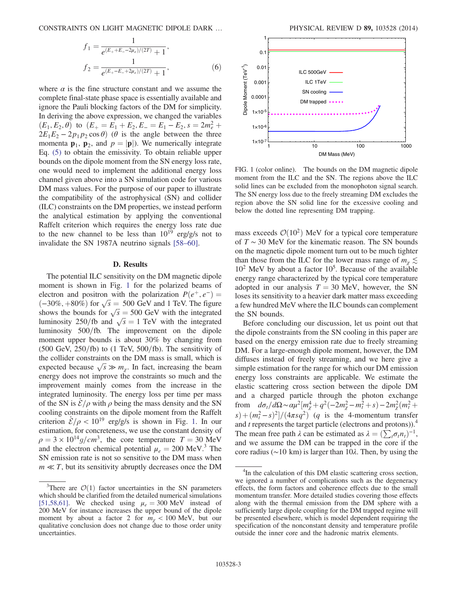CONSTRAINTS ON LIGHT MAGNETIC DIPOLE DARK … PHYSICAL REVIEW D 89, 103528 (2014)

$$
f_1 = \frac{1}{e^{(E_+ + E_- - 2\mu_e)/(2T)} + 1},
$$
  
\n
$$
f_2 = \frac{1}{e^{(E_+ - E_- + 2\mu_e)/(2T)} + 1},
$$
\n(6)

where  $\alpha$  is the fine structure constant and we assume the complete final-state phase space is essentially available and ignore the Pauli blocking factors of the DM for simplicity. In deriving the above expression, we changed the variables  $(E_1, E_2, \theta)$  to  $(E_+ = E_1 + E_2, E_- = E_1 - E_2, s = 2m_e^2 + \theta$  $2E_1E_2 - 2p_1p_2\cos\theta$  ( $\theta$  is the angle between the three momenta  $\mathbf{p}_1$ ,  $\mathbf{p}_2$ , and  $p = |\mathbf{p}|$ ). We numerically integrate Eq. (5) to obtain the emissivity. To obtain reliable upper bounds on the dipole moment from the SN energy loss rate, one would need to implement the additional energy loss channel given above into a SN simulation code for various DM mass values. For the purpose of our paper to illustrate the compatibility of the astrophysical (SN) and collider (ILC) constraints on the DM properties, we instead perform the analytical estimation by applying the conventional Raffelt criterion which requires the energy loss rate due to the new channel to be less than  $10^{19}$  erg/g/s not to invalidate the SN 1987A neutrino signals [58–60].

#### D. Results

The potential ILC sensitivity on the DM magnetic dipole moment is shown in Fig. 1 for the polarized beams of electron and positron with the polarization  $P(e^+, e^-) =$  $(-30\%, +80\%)$  for  $\sqrt{s} = 500$  GeV and 1 TeV. The figure shows the bounds for  $\sqrt{s} = 500$  GeV with the integrated luminosity 250/fb and  $\sqrt{s} = 1$  TeV with the integrated luminosity  $500$ /fb. The improvement on the dipole moment upper bounds is about 30% by changing from  $(500 \text{ GeV}, 250/\text{fb})$  to  $(1 \text{ TeV}, 500/\text{fb})$ . The sensitivity of the collider constraints on the DM mass is small, which is expected because  $\sqrt{s} \gg m_{\chi}$ . In fact, increasing the beam energy does not improve the constraints so much and the improvement mainly comes from the increase in the integrated luminosity. The energy loss per time per mass of the SN is  $\dot{\mathcal{E}}/\rho$  with  $\rho$  being the mass density and the SN cooling constraints on the dipole moment from the Raffelt criterion  $\dot{\mathcal{E}}/\rho < 10^{19}$  erg/g/s is shown in Fig. 1. In our estimation, for concreteness, we use the constant density of  $\rho = 3 \times 10^{14} g/cm^3$ , the core temperature  $T = 30$  MeV and the electron chemical potential  $\mu_e = 200 \text{ MeV}^3$ . The SN emission rate is not so sensitive to the DM mass when  $m \ll T$ , but its sensitivity abruptly decreases once the DM



FIG. 1 (color online). The bounds on the DM magnetic dipole moment from the ILC and the SN. The regions above the ILC solid lines can be excluded from the monophoton signal search. The SN energy loss due to the freely streaming DM excludes the region above the SN solid line for the excessive cooling and below the dotted line representing DM trapping.

mass exceeds  $\mathcal{O}(10^2)$  MeV for a typical core temperature of  $T \sim 30$  MeV for the kinematic reason. The SN bounds on the magnetic dipole moment turn out to be much tighter than those from the ILC for the lower mass range of  $m_{\gamma} \leq$  $10<sup>2</sup>$  MeV by about a factor  $10<sup>5</sup>$ . Because of the available energy range characterized by the typical core temperature adopted in our analysis  $T = 30$  MeV, however, the SN loses its sensitivity to a heavier dark matter mass exceeding a few hundred MeV where the ILC bounds can complement the SN bounds.

Before concluding our discussion, let us point out that the dipole constraints from the SN cooling in this paper are based on the energy emission rate due to freely streaming DM. For a large-enough dipole moment, however, the DM diffuses instead of freely streaming, and we here give a simple estimation for the range for which our DM emission energy loss constraints are applicable. We estimate the elastic scattering cross section between the dipole DM and a charged particle through the photon exchange from  $d\sigma_t/d\Omega \sim \alpha \mu^2 [m_\chi^4 + q^2(-2m_\chi^2 - m_t^2 + s) - 2m_\chi^2(m_t^2 +$  $(s) + (m_t^2 - s)^2]/(4\pi s q^2)$  (q is the 4-momentum transfer and  $t$  represents the target particle (electrons and protons)).<sup>4</sup> The mean free path  $\lambda$  can be estimated as  $\lambda = (\sum_i \sigma_i n_i)^{-1}$ , and we assume the DM can be trapped in the core if the core radius (∼10 km) is larger than 10λ. Then, by using the

<sup>&</sup>lt;sup>3</sup>There are  $\mathcal{O}(1)$  factor uncertainties in the SN parameters which should be clarified from the detailed numerical simulations [51,58,61]. We checked using  $\mu_e = 300 \text{ MeV}$  instead of 200 MeV for instance increases the upper bound of the dipole moment by about a factor 2 for  $m_{\gamma}$  < 100 MeV, but our qualitative conclusion does not change due to those order unity uncertainties.

<sup>&</sup>lt;sup>4</sup>In the calculation of this DM elastic scattering cross section, we ignored a number of complications such as the degeneracy effects, the form factors and coherence effects due to the small momentum transfer. More detailed studies covering those effects along with the thermal emission from the DM sphere with a sufficiently large dipole coupling for the DM trapped regime will be presented elsewhere, which is model dependent requiring the specification of the nonconstant density and temperature profile outside the inner core and the hadronic matrix elements.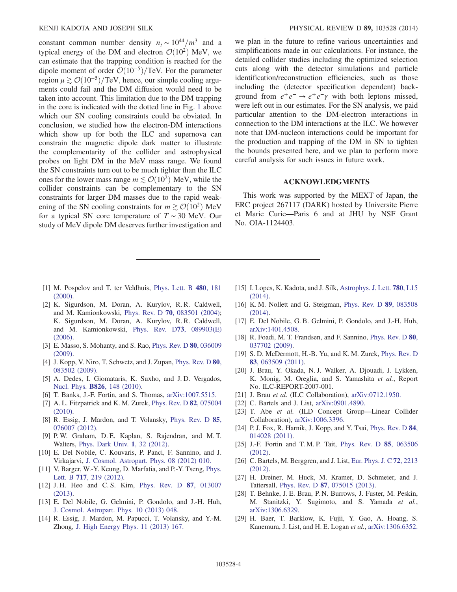constant common number density  $n_t \sim 10^{44}/m^3$  and a typical energy of the DM and electron  $\mathcal{O}(10^2)$  MeV, we can estimate that the trapping condition is reached for the dipole moment of order  $\mathcal{O}(10^{-5})$ /TeV. For the parameter region  $\mu \gtrsim \mathcal{O}(10^{-5})$ /TeV, hence, our simple cooling arguments could fail and the DM diffusion would need to be taken into account. This limitation due to the DM trapping in the core is indicated with the dotted line in Fig. 1 above which our SN cooling constraints could be obviated. In conclusion, we studied how the electron-DM interactions which show up for both the ILC and supernova can constrain the magnetic dipole dark matter to illustrate the complementarity of the collider and astrophysical probes on light DM in the MeV mass range. We found the SN constraints turn out to be much tighter than the ILC ones for the lower mass range  $m \lesssim \mathcal{O}(10^2)$  MeV, while the collider constraints can be complementary to the SN constraints for larger DM masses due to the rapid weakening of the SN cooling constraints for  $m \gtrsim \mathcal{O}(10^2)$  MeV for a typical SN core temperature of  $T \sim 30$  MeV. Our study of MeV dipole DM deserves further investigation and we plan in the future to refine various uncertainties and simplifications made in our calculations. For instance, the detailed collider studies including the optimized selection cuts along with the detector simulations and particle identification/reconstruction efficiencies, such as those including the (detector specification dependent) background from  $e^+e^- \rightarrow e^+e^-\gamma$  with both leptons missed, were left out in our estimates. For the SN analysis, we paid particular attention to the DM-electron interactions in connection to the DM interactions at the ILC. We however note that DM-nucleon interactions could be important for the production and trapping of the DM in SN to tighten the bounds presented here, and we plan to perform more careful analysis for such issues in future work.

#### ACKNOWLEDGMENTS

This work was supported by the MEXT of Japan, the ERC project 267117 (DARK) hosted by Universite Pierre et Marie Curie—Paris 6 and at JHU by NSF Grant No. OIA-1124403.

- [1] M. Pospelov and T. ter Veldhuis, [Phys. Lett. B](http://dx.doi.org/10.1016/S0370-2693(00)00358-0) 480, 181  $(2000)$ .
- [2] K. Sigurdson, M. Doran, A. Kurylov, R. R. Caldwell, and M. Kamionkowski, Phys. Rev. D 70[, 083501 \(2004\)](http://dx.doi.org/10.1103/PhysRevD.70.083501); K. Sigurdson, M. Doran, A. Kurylov, R. R. Caldwell, and M. Kamionkowski, [Phys. Rev. D](http://dx.doi.org/10.1103/PhysRevD.73.089903)73, 089903(E) [\(2006\).](http://dx.doi.org/10.1103/PhysRevD.73.089903)
- [3] E. Masso, S. Mohanty, and S. Rao, [Phys. Rev. D](http://dx.doi.org/10.1103/PhysRevD.80.036009) 80, 036009 [\(2009\).](http://dx.doi.org/10.1103/PhysRevD.80.036009)
- [4] J. Kopp, V. Niro, T. Schwetz, and J. Zupan, [Phys. Rev. D](http://dx.doi.org/10.1103/PhysRevD.80.083502) 80, [083502 \(2009\).](http://dx.doi.org/10.1103/PhysRevD.80.083502)
- [5] A. Dedes, I. Giomataris, K. Suxho, and J.D. Vergados, Nucl. Phys. B826[, 148 \(2010\).](http://dx.doi.org/10.1016/j.nuclphysb.2009.09.032)
- [6] T. Banks, J.-F. Fortin, and S. Thomas, [arXiv:1007.5515.](http://arXiv.org/abs/1007.5515)
- [7] A. L. Fitzpatrick and K. M. Zurek, [Phys. Rev. D](http://dx.doi.org/10.1103/PhysRevD.82.075004) 82, 075004 [\(2010\).](http://dx.doi.org/10.1103/PhysRevD.82.075004)
- [8] R. Essig, J. Mardon, and T. Volansky, [Phys. Rev. D](http://dx.doi.org/10.1103/PhysRevD.85.076007) 85, [076007 \(2012\).](http://dx.doi.org/10.1103/PhysRevD.85.076007)
- [9] P. W. Graham, D. E. Kaplan, S. Rajendran, and M. T. Walters, [Phys. Dark Univ.](http://dx.doi.org/10.1016/j.dark.2012.09.001) 1, 32 (2012).
- [10] E. Del Nobile, C. Kouvaris, P. Panci, F. Sannino, and J. Virkajarvi, [J. Cosmol. Astropart. Phys. 08 \(2012\) 010.](http://dx.doi.org/10.1088/1475-7516/2012/08/010)
- [11] V. Barger, W.-Y. Keung, D. Marfatia, and P.-Y. Tseng, [Phys.](http://dx.doi.org/10.1016/j.physletb.2012.09.036) Lett. B 717[, 219 \(2012\).](http://dx.doi.org/10.1016/j.physletb.2012.09.036)
- [12] J. H. Heo and C. S. Kim, [Phys. Rev. D](http://dx.doi.org/10.1103/PhysRevD.87.013007) 87, 013007 [\(2013\).](http://dx.doi.org/10.1103/PhysRevD.87.013007)
- [13] E. Del Nobile, G. Gelmini, P. Gondolo, and J.-H. Huh, [J. Cosmol. Astropart. Phys. 10 \(2013\) 048.](http://dx.doi.org/10.1088/1475-7516/2013/10/048)
- [14] R. Essig, J. Mardon, M. Papucci, T. Volansky, and Y.-M. Zhong, [J. High Energy Phys. 11 \(2013\) 167.](http://dx.doi.org/10.1007/JHEP11(2013)167)
- [15] I. Lopes, K. Kadota, and J. Silk, [Astrophys. J. Lett.](http://dx.doi.org/10.1088/2041-8205/780/2/L15) 780, L15 [\(2014\).](http://dx.doi.org/10.1088/2041-8205/780/2/L15)
- [16] K. M. Nollett and G. Steigman, [Phys. Rev. D](http://dx.doi.org/10.1103/PhysRevD.89.083508) 89, 083508 [\(2014\).](http://dx.doi.org/10.1103/PhysRevD.89.083508)
- [17] E. Del Nobile, G. B. Gelmini, P. Gondolo, and J.-H. Huh, [arXiv:1401.4508.](http://arXiv.org/abs/1401.4508)
- [18] R. Foadi, M. T. Frandsen, and F. Sannino, [Phys. Rev. D](http://dx.doi.org/10.1103/PhysRevD.80.037702) 80, [037702 \(2009\).](http://dx.doi.org/10.1103/PhysRevD.80.037702)
- [19] S. D. McDermott, H.-B. Yu, and K. M. Zurek, [Phys. Rev. D](http://dx.doi.org/10.1103/PhysRevD.83.063509) 83[, 063509 \(2011\).](http://dx.doi.org/10.1103/PhysRevD.83.063509)
- [20] J. Brau, Y. Okada, N. J. Walker, A. Djouadi, J. Lykken, K. Monig, M. Oreglia, and S. Yamashita et al., Report No. ILC-REPORT-2007-001.
- [21] J. Brau et al. (ILC Collaboration), [arXiv:0712.1950.](http://arXiv.org/abs/0712.1950)
- [22] C. Bartels and J. List, [arXiv:0901.4890.](http://arXiv.org/abs/0901.4890)
- [23] T. Abe et al. (ILD Concept Group—Linear Collider Collaboration), [arXiv:1006.3396.](http://arXiv.org/abs/1006.3396)
- [24] P. J. Fox, R. Harnik, J. Kopp, and Y. Tsai, [Phys. Rev. D](http://dx.doi.org/10.1103/PhysRevD.84.014028) 84, [014028 \(2011\).](http://dx.doi.org/10.1103/PhysRevD.84.014028)
- [25] J.-F. Fortin and T. M. P. Tait, [Phys. Rev. D](http://dx.doi.org/10.1103/PhysRevD.85.063506) 85, 063506 [\(2012\).](http://dx.doi.org/10.1103/PhysRevD.85.063506)
- [26] C. Bartels, M. Berggren, and J. List, [Eur. Phys. J. C](http://dx.doi.org/10.1140/epjc/s10052-012-2213-9) 72, 2213 [\(2012\).](http://dx.doi.org/10.1140/epjc/s10052-012-2213-9)
- [27] H. Dreiner, M. Huck, M. Kramer, D. Schmeier, and J. Tattersall, Phys. Rev. D 87[, 075015 \(2013\).](http://dx.doi.org/10.1103/PhysRevD.87.075015)
- [28] T. Behnke, J. E. Brau, P. N. Burrows, J. Fuster, M. Peskin, M. Stanitzki, Y. Sugimoto, and S. Yamada et al., [arXiv:1306.6329.](http://arXiv.org/abs/1306.6329)
- [29] H. Baer, T. Barklow, K. Fujii, Y. Gao, A. Hoang, S. Kanemura, J. List, and H. E. Logan et al., [arXiv:1306.6352.](http://arXiv.org/abs/1306.6352)